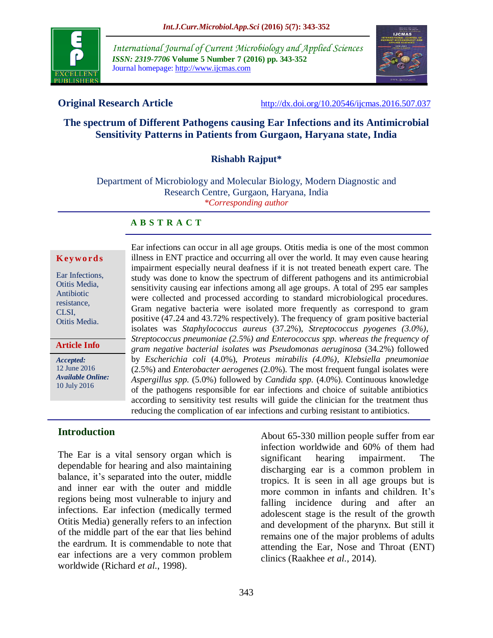

*International Journal of Current Microbiology and Applied Sciences ISSN: 2319-7706* **Volume 5 Number 7 (2016) pp. 343-352** Journal homepage: http://www.ijcmas.com



**Original Research Article** <http://dx.doi.org/10.20546/ijcmas.2016.507.037>

# **The spectrum of Different Pathogens causing Ear Infections and its Antimicrobial Sensitivity Patterns in Patients from Gurgaon, Haryana state, India**

## **Rishabh Rajput\***

Department of Microbiology and Molecular Biology, Modern Diagnostic and Research Centre, Gurgaon, Haryana, India *\*Corresponding author*

#### **A B S T R A C T**

#### **K ey w o rd s**

Ear Infections, Otitis Media, Antibiotic resistance, CLSI, Otitis Media.

#### **Article Info**

*Accepted:*  12 June 2016 *Available Online:* 10 July 2016

illness in ENT practice and occurring all over the world. It may even cause hearing impairment especially neural deafness if it is not treated beneath expert care. The study was done to know the spectrum of different pathogens and its antimicrobial sensitivity causing ear infections among all age groups. A total of 295 ear samples were collected and processed according to standard microbiological procedures. Gram negative bacteria were isolated more frequently as correspond to gram positive (47.24 and 43.72% respectively). The frequency of gram positive bacterial isolates was *Staphylococcus aureus* (37.2%), *Streptococcus pyogenes (3.0%), Streptococcus pneumoniae (2.5%) and Enterococcus spp. whereas the frequency of gram negative bacterial isolates was Pseudomonas aeruginosa* (34.2%) followed by *Escherichia coli* (4.0%), *Proteus mirabilis (4.0%)*, *Klebsiella pneumoniae* (2.5%) and *Enterobacter aerogenes* (2.0%). The most frequent fungal isolates were *Aspergillus spp*. (5.0%) followed by *Candida spp.* (4.0%). Continuous knowledge of the pathogens responsible for ear infections and choice of suitable antibiotics according to sensitivity test results will guide the clinician for the treatment thus reducing the complication of ear infections and curbing resistant to antibiotics.

Ear infections can occur in all age groups. Otitis media is one of the most common

#### **Introduction**

The Ear is a vital sensory organ which is dependable for hearing and also maintaining balance, it's separated into the outer, middle and inner ear with the outer and middle regions being most vulnerable to injury and infections. Ear infection (medically termed Otitis Media) generally refers to an infection of the middle part of the ear that lies behind the eardrum. It is commendable to note that ear infections are a very common problem worldwide (Richard *et al.*, 1998).

About 65-330 million people suffer from ear infection worldwide and 60% of them had significant hearing impairment. The discharging ear is a common problem in tropics. It is seen in all age groups but is more common in infants and children. It's falling incidence during and after an adolescent stage is the result of the growth and development of the pharynx. But still it remains one of the major problems of adults attending the Ear, Nose and Throat (ENT) clinics (Raakhee *et al.*, 2014).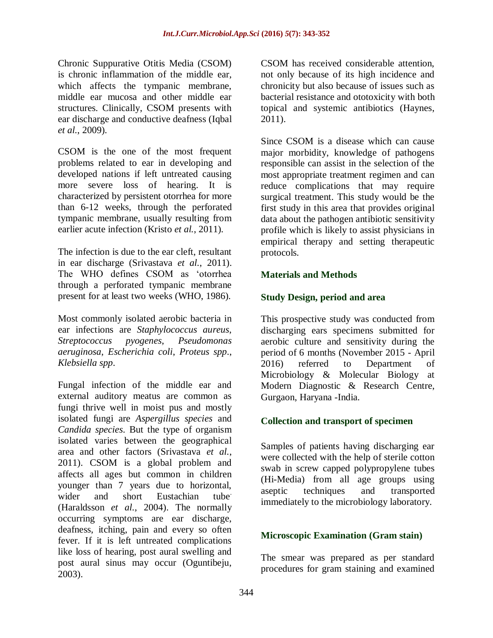Chronic Suppurative Otitis Media (CSOM) is chronic inflammation of the middle ear, which affects the tympanic membrane, middle ear mucosa and other middle ear structures. Clinically, CSOM presents with ear discharge and conductive deafness (Iqbal *et al.*, 2009).

CSOM is the one of the most frequent problems related to ear in developing and developed nations if left untreated causing more severe loss of hearing. It is characterized by persistent otorrhea for more than 6-12 weeks, through the perforated tympanic membrane, usually resulting from earlier acute infection (Kristo *et al.*, 2011).

The infection is due to the ear cleft, resultant in ear discharge (Srivastava *et al.*, 2011). The WHO defines CSOM as 'otorrhea through a perforated tympanic membrane present for at least two weeks (WHO, 1986).

Most commonly isolated aerobic bacteria in ear infections are *Staphylococcus aureus*, *Streptococcus pyogenes*, *Pseudomonas aeruginosa*, *Escherichia coli*, *Proteus spp*., *Klebsiella spp*.

Fungal infection of the middle ear and external auditory meatus are common as fungi thrive well in moist pus and mostly isolated fungi are *Aspergillus species* and *Candida species*. But the type of organism isolated varies between the geographical area and other factors (Srivastava *et al.*, 2011). CSOM is a global problem and affects all ages but common in children younger than 7 years due to horizontal, wider and short Eustachian tube (Haraldsson *et al.*, 2004). The normally occurring symptoms are ear discharge, deafness, itching, pain and every so often fever. If it is left untreated complications like loss of hearing, post aural swelling and post aural sinus may occur (Oguntibeju, 2003).

CSOM has received considerable attention, not only because of its high incidence and chronicity but also because of issues such as bacterial resistance and ototoxicity with both topical and systemic antibiotics (Haynes, 2011).

Since CSOM is a disease which can cause major morbidity, knowledge of pathogens responsible can assist in the selection of the most appropriate treatment regimen and can reduce complications that may require surgical treatment. This study would be the first study in this area that provides original data about the pathogen antibiotic sensitivity profile which is likely to assist physicians in empirical therapy and setting therapeutic protocols.

# **Materials and Methods**

# **Study Design, period and area**

This prospective study was conducted from discharging ears specimens submitted for aerobic culture and sensitivity during the period of 6 months (November 2015 - April 2016) referred to Department of Microbiology & Molecular Biology at Modern Diagnostic & Research Centre, Gurgaon, Haryana -India.

# **Collection and transport of specimen**

Samples of patients having discharging ear were collected with the help of sterile cotton swab in screw capped polypropylene tubes (Hi-Media) from all age groups using aseptic techniques and transported immediately to the microbiology laboratory.

# **Microscopic Examination (Gram stain)**

The smear was prepared as per standard procedures for gram staining and examined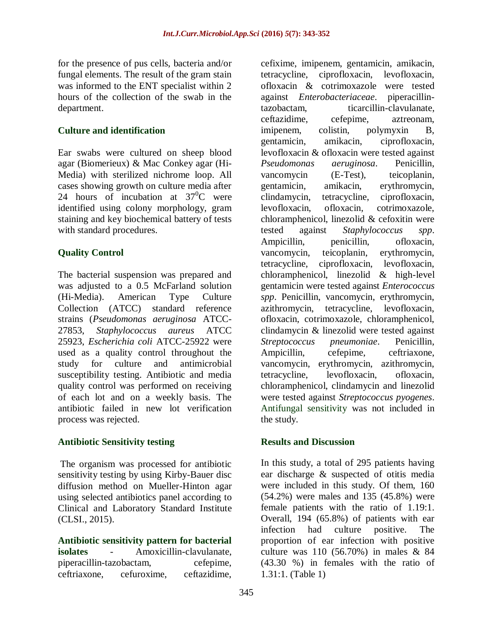for the presence of pus cells, bacteria and/or fungal elements. The result of the gram stain was informed to the ENT specialist within 2 hours of the collection of the swab in the department.

## **Culture and identification**

Ear swabs were cultured on sheep blood agar (Biomerieux) & Mac Conkey agar (Hi-Media) with sterilized nichrome loop. All cases showing growth on culture media after 24 hours of incubation at  $37^{\circ}$ C were identified using colony morphology, gram staining and key biochemical battery of tests with standard procedures.

# **Quality Control**

The bacterial suspension was prepared and was adjusted to a 0.5 McFarland solution (Hi-Media). American Type Culture Collection (ATCC) standard reference strains (*Pseudomonas aeruginosa* ATCC-27853, *Staphylococcus aureus* ATCC 25923, *Escherichia coli* ATCC-25922 were used as a quality control throughout the study for culture and antimicrobial susceptibility testing. Antibiotic and media quality control was performed on receiving of each lot and on a weekly basis. The antibiotic failed in new lot verification process was rejected.

## **Antibiotic Sensitivity testing**

The organism was processed for antibiotic sensitivity testing by using Kirby-Bauer disc diffusion method on Mueller-Hinton agar using selected antibiotics panel according to Clinical and Laboratory Standard Institute (CLSI., 2015).

**Antibiotic sensitivity pattern for bacterial isolates** - Amoxicillin-clavulanate, piperacillin-tazobactam, cefepime, ceftriaxone, cefuroxime, ceftazidime,

cefixime, imipenem, gentamicin, amikacin, tetracycline, ciprofloxacin, levofloxacin, ofloxacin & cotrimoxazole were tested against *Enterobacteriaceae*. piperacillintazobactam, ticarcillin-clavulanate, ceftazidime, cefepime, aztreonam, imipenem, colistin, polymyxin B, gentamicin, amikacin, ciprofloxacin, levofloxacin & ofloxacin were tested against *Pseudomonas aeruginosa*. Penicillin, vancomycin (E-Test), teicoplanin, gentamicin, amikacin, erythromycin, clindamycin, tetracycline, ciprofloxacin, levofloxacin, ofloxacin, cotrimoxazole, chloramphenicol, linezolid & cefoxitin were tested against *Staphylococcus spp*. Ampicillin, penicillin, ofloxacin, vancomycin, teicoplanin, erythromycin, tetracycline, ciprofloxacin, levofloxacin, chloramphenicol, linezolid & high-level gentamicin were tested against *Enterococcus spp*. Penicillin, vancomycin, erythromycin, azithromycin, tetracycline, levofloxacin, ofloxacin, cotrimoxazole, chloramphenicol, clindamycin & linezolid were tested against *Streptococcus pneumoniae*. Penicillin, Ampicillin, cefepime, ceftriaxone, vancomycin, erythromycin, azithromycin, tetracycline, levofloxacin, ofloxacin, chloramphenicol, clindamycin and linezolid were tested against *Streptococcus pyogenes*. Antifungal sensitivity was not included in the study.

# **Results and Discussion**

In this study, a total of 295 patients having ear discharge & suspected of otitis media were included in this study. Of them, 160 (54.2%) were males and 135 (45.8%) were female patients with the ratio of 1.19:1. Overall, 194 (65.8%) of patients with ear infection had culture positive. The proportion of ear infection with positive culture was 110 (56.70%) in males & 84 (43.30 %) in females with the ratio of 1.31:1. (Table 1)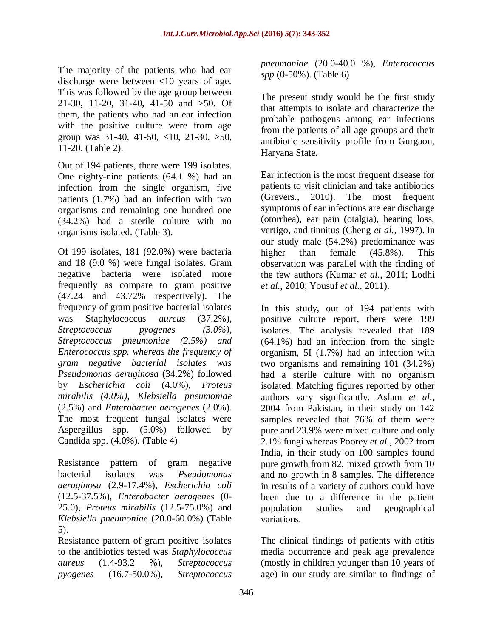The majority of the patients who had ear discharge were between <10 years of age. This was followed by the age group between 21-30, 11-20, 31-40, 41-50 and >50. Of them, the patients who had an ear infection with the positive culture were from age group was 31-40, 41-50, <10, 21-30, >50, 11-20. (Table 2).

Out of 194 patients, there were 199 isolates. One eighty-nine patients (64.1 %) had an infection from the single organism, five patients (1.7%) had an infection with two organisms and remaining one hundred one (34.2%) had a sterile culture with no organisms isolated. (Table 3).

Of 199 isolates, 181 (92.0%) were bacteria and 18 (9.0 %) were fungal isolates. Gram negative bacteria were isolated more frequently as compare to gram positive (47.24 and 43.72% respectively). The frequency of gram positive bacterial isolates was Staphylococcus *aureus* (37.2%), *Streptococcus pyogenes (3.0%), Streptococcus pneumoniae (2.5%) and Enterococcus spp. whereas the frequency of gram negative bacterial isolates was Pseudomonas aeruginosa* (34.2%) followed by *Escherichia coli* (4.0%), *Proteus mirabilis (4.0%)*, *Klebsiella pneumoniae* (2.5%) and *Enterobacter aerogenes* (2.0%). The most frequent fungal isolates were Aspergillus spp. (5.0%) followed by Candida spp. (4.0%). (Table 4)

Resistance pattern of gram negative bacterial isolates was *Pseudomonas aeruginosa* (2.9-17.4%), *Escherichia coli* (12.5-37.5%), *Enterobacter aerogenes* (0- 25.0), *Proteus mirabilis* (12.5-75.0%) and *Klebsiella pneumoniae* (20.0-60.0%) (Table 5).

Resistance pattern of gram positive isolates to the antibiotics tested was *Staphylococcus aureus* (1.4-93.2 %), *Streptococcus pyogenes* (16.7-50.0%), *Streptococcus* 

*pneumoniae* (20.0-40.0 %), *Enterococcus spp* (0-50%). (Table 6)

The present study would be the first study that attempts to isolate and characterize the probable pathogens among ear infections from the patients of all age groups and their antibiotic sensitivity profile from Gurgaon, Haryana State.

Ear infection is the most frequent disease for patients to visit clinician and take antibiotics (Grevers., 2010). The most frequent symptoms of ear infections are ear discharge (otorrhea), ear pain (otalgia), hearing loss, vertigo, and tinnitus (Cheng *et al.*, 1997). In our study male (54.2%) predominance was higher than female (45.8%). This observation was parallel with the finding of the few authors (Kumar *et al.*, 2011; Lodhi *et al.*, 2010; Yousuf *et al.*, 2011).

In this study, out of 194 patients with positive culture report, there were 199 isolates. The analysis revealed that 189 (64.1%) had an infection from the single organism, 5I (1.7%) had an infection with two organisms and remaining 101 (34.2%) had a sterile culture with no organism isolated. Matching figures reported by other authors vary significantly. Aslam *et al.*, 2004 from Pakistan, in their study on 142 samples revealed that 76% of them were pure and 23.9% were mixed culture and only 2.1% fungi whereas Poorey *et al.*, 2002 from India, in their study on 100 samples found pure growth from 82, mixed growth from 10 and no growth in 8 samples. The difference in results of a variety of authors could have been due to a difference in the patient population studies and geographical variations.

The clinical findings of patients with otitis media occurrence and peak age prevalence (mostly in children younger than 10 years of age) in our study are similar to findings of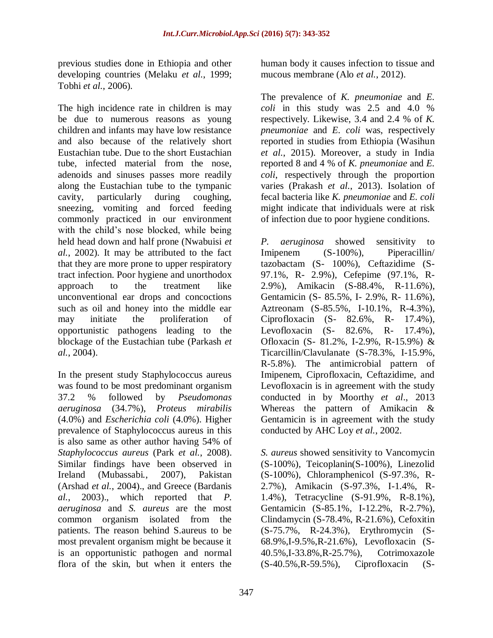previous studies done in Ethiopia and other developing countries (Melaku *et al.*, 1999; Tobhi *et al.*, 2006).

The high incidence rate in children is may be due to numerous reasons as young children and infants may have low resistance and also because of the relatively short Eustachian tube. Due to the short Eustachian tube, infected material from the nose, adenoids and sinuses passes more readily along the Eustachian tube to the tympanic cavity, particularly during coughing, sneezing, vomiting and forced feeding commonly practiced in our environment with the child's nose blocked, while being held head down and half prone (Nwabuisi *et al.*, 2002). It may be attributed to the fact that they are more prone to upper respiratory tract infection. Poor hygiene and unorthodox approach to the treatment like unconventional ear drops and concoctions such as oil and honey into the middle ear may initiate the proliferation of opportunistic pathogens leading to the blockage of the Eustachian tube (Parkash *et al.*, 2004).

In the present study Staphylococcus aureus was found to be most predominant organism 37.2 % followed by *Pseudomonas aeruginosa* (34.7%), *Proteus mirabilis* (4.0%) and *Escherichia coli* (4.0%). Higher prevalence of Staphylococcus aureus in this is also same as other author having 54% of *Staphylococcus aureus* (Park *et al.*, 2008). Similar findings have been observed in Ireland (Mubassabi*.*, 2007), Pakistan (Arshad *et al.*, 2004)., and Greece (Bardanis *al.*, 2003)., which reported that *P. aeruginosa* and *S. aureus* are the most common organism isolated from the patients. The reason behind S.aureus to be most prevalent organism might be because it is an opportunistic pathogen and normal flora of the skin, but when it enters the

human body it causes infection to tissue and mucous membrane (Alo *et al.*, 2012).

The prevalence of *K. pneumoniae* and *E. coli* in this study was 2.5 and 4.0 % respectively. Likewise, 3.4 and 2.4 % of *K. pneumoniae* and *E. coli* was, respectively reported in studies from Ethiopia (Wasihun *et al.*, 2015). Moreover, a study in India reported 8 and 4 % of *K. pneumoniae* and *E. coli*, respectively through the proportion varies (Prakash *et al.*, 2013). Isolation of fecal bacteria like *K. pneumoniae* and *E. coli* might indicate that individuals were at risk of infection due to poor hygiene conditions.

*P. aeruginosa* showed sensitivity to Imipenem (S-100%), Piperacillin/ tazobactam (S- 100%), Ceftazidime (S-97.1%, R- 2.9%), Cefepime (97.1%, R-2.9%), Amikacin (S-88.4%, R-11.6%), Gentamicin (S- 85.5%, I- 2.9%, R- 11.6%), Aztreonam (S-85.5%, I-10.1%, R-4.3%), Ciprofloxacin (S- 82.6%, R- 17.4%), Levofloxacin (S- 82.6%, R- 17.4%), Ofloxacin (S- 81.2%, I-2.9%, R-15.9%) & Ticarcillin/Clavulanate (S-78.3%, I-15.9%, R-5.8%). The antimicrobial pattern of Imipenem, Ciprofloxacin, Ceftazidime, and Levofloxacin is in agreement with the study conducted in by Moorthy *et al*., 2013 Whereas the pattern of Amikacin & Gentamicin is in agreement with the study conducted by AHC Loy *et al.*, 2002.

*S. aureus* showed sensitivity to Vancomycin (S-100%), Teicoplanin(S-100%), Linezolid (S-100%), Chloramphenicol (S-97.3%, R-2.7%), Amikacin (S-97.3%, I-1.4%, R-1.4%), Tetracycline (S-91.9%, R-8.1%), Gentamicin (S-85.1%, I-12.2%, R-2.7%), Clindamycin (S-78.4%, R-21.6%), Cefoxitin (S-75.7%, R-24.3%), Erythromycin (S-68.9%,I-9.5%,R-21.6%), Levofloxacin (S-40.5%,I-33.8%,R-25.7%), Cotrimoxazole (S-40.5%,R-59.5%), Ciprofloxacin (S-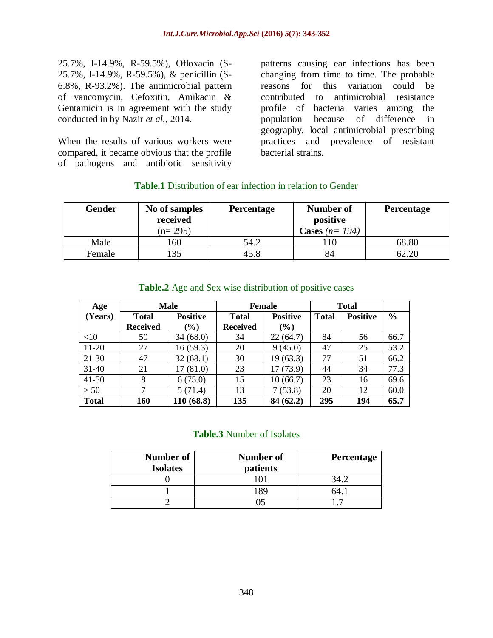25.7%, I-14.9%, R-59.5%), Ofloxacin (S-25.7%, I-14.9%, R-59.5%), & penicillin (S-6.8%, R-93.2%). The antimicrobial pattern of vancomycin, Cefoxitin, Amikacin & Gentamicin is in agreement with the study conducted in by Nazir *et al.*, 2014.

When the results of various workers were compared, it became obvious that the profile of pathogens and antibiotic sensitivity

patterns causing ear infections has been changing from time to time. The probable reasons for this variation could be contributed to antimicrobial resistance profile of bacteria varies among the population because of difference in geography, local antimicrobial prescribing practices and prevalence of resistant bacterial strains.

| Gender | No of samples<br>received | <b>Percentage</b> | Number of<br>positive | <b>Percentage</b> |  |  |
|--------|---------------------------|-------------------|-----------------------|-------------------|--|--|
|        | $(n=295)$                 |                   | Cases $(n=194)$       |                   |  |  |
| Male   | 160                       | 54.2              |                       | 68.80             |  |  |
| Female | 35                        | 45.8              | 84                    | 62.20             |  |  |

## **Table.1** Distribution of ear infection in relation to Gender

| Age          |                 | <b>Male</b>     |                 | Female          | <b>Total</b> |                 |               |
|--------------|-----------------|-----------------|-----------------|-----------------|--------------|-----------------|---------------|
| (Years)      | <b>Total</b>    | <b>Positive</b> | <b>Total</b>    | <b>Positive</b> | <b>Total</b> | <b>Positive</b> | $\frac{6}{6}$ |
|              | <b>Received</b> | $(\%)$          | <b>Received</b> | $(\%)$          |              |                 |               |
| $<$ 10       | 50              | 34(68.0)        | 34              | 22(64.7)        | 84           | 56              | 66.7          |
| $11-20$      | 27              | 16(59.3)        | 20              | 9(45.0)         | 47           | 25              | 53.2          |
| $21-30$      | 47              | 32(68.1)        | 30              | 19(63.3)        | 77           | 51              | 66.2          |
| $31-40$      | 21              | 17(81.0)        | 23              | 17(73.9)        | 44           | 34              | 77.3          |
| $41 - 50$    | 8               | 6(75.0)         | 15              | 10(66.7)        | 23           | 16              | 69.6          |
| > 50         | $\tau$          | 5(71.4)         | 13              | 7(53.8)         | 20           | 12              | 60.0          |
| <b>Total</b> | <b>160</b>      | 110 (68.8)      | 135             | 84 (62.2)       | 295          | 194             | 65.7          |

## **Table.2** Age and Sex wise distribution of positive cases

#### **Table.3** Number of Isolates

| Number of<br><b>Isolates</b> | <b>Number of</b><br>patients | <b>Percentage</b> |  |  |
|------------------------------|------------------------------|-------------------|--|--|
|                              |                              |                   |  |  |
|                              |                              |                   |  |  |
|                              |                              |                   |  |  |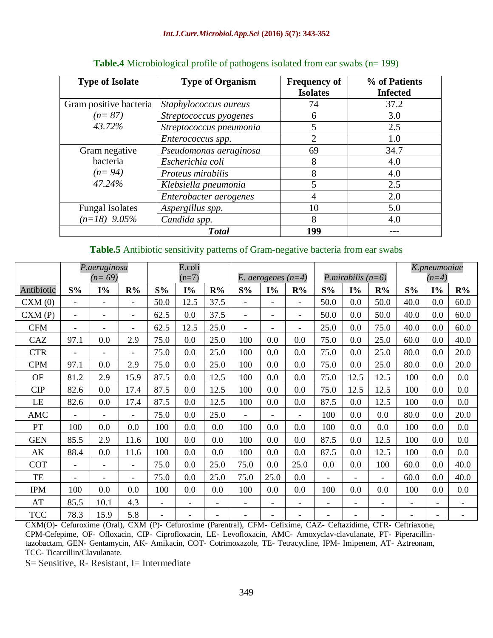#### *Int.J.Curr.Microbiol.App.Sci* **(2016)** *5***(7): 343-352**

| <b>Type of Isolate</b> | <b>Type of Organism</b> | <b>Frequency of</b><br><b>Isolates</b> | % of Patients<br><b>Infected</b> |
|------------------------|-------------------------|----------------------------------------|----------------------------------|
| Gram positive bacteria | Staphylococcus aureus   | 74                                     | 37.2                             |
| $(n=87)$               | Streptococcus pyogenes  | 6                                      | 3.0                              |
| 43.72%                 | Streptococcus pneumonia | 5                                      | 2.5                              |
|                        | Enterococcus spp.       | $\overline{2}$                         | 1.0                              |
| Gram negative          | Pseudomonas aeruginosa  | 69                                     | 34.7                             |
| bacteria               | Escherichia coli        | 8                                      | 4.0                              |
| $(n=94)$               | Proteus mirabilis       | 8                                      | 4.0                              |
| 47.24%                 | Klebsiella pneumonia    | 5                                      | 2.5                              |
|                        | Enterobacter aerogenes  | 4                                      | 2.0                              |
| <b>Fungal Isolates</b> | Aspergillus spp.        | 10                                     | 5.0                              |
| $(n=18)$ 9.05%         | Candida spp.            | 8                                      | 4.0                              |
|                        | <b>Total</b>            | 199                                    |                                  |

#### **Table.4** Microbiological profile of pathogens isolated from ear swabs (n= 199)

## **Table.5** Antibiotic sensitivity patterns of Gram-negative bacteria from ear swabs

|            | P.aeruginosa             |                              | E.coli                   |                          |                          |                      |                          |                          |                          |                |       |                          | K.pneumoniae |                          |                          |
|------------|--------------------------|------------------------------|--------------------------|--------------------------|--------------------------|----------------------|--------------------------|--------------------------|--------------------------|----------------|-------|--------------------------|--------------|--------------------------|--------------------------|
|            | $(n=69)$                 |                              |                          | $(n=7)$                  |                          | E. aerogenes $(n=4)$ |                          |                          | P.mirabilis $(n=6)$      |                |       | $(n=4)$                  |              |                          |                          |
| Antibiotic | $S\%$                    | $I\%$                        | R%                       | $S\%$                    | $I\%$                    | R%                   | S%                       | $I\%$                    | R%                       | $S\%$          | $I\%$ | R%                       | S%           | $I\%$                    | R%                       |
| CXM(0)     | $\overline{\phantom{a}}$ | $\overline{\phantom{a}}$     | $\overline{\phantom{a}}$ | 50.0                     | 12.5                     | 37.5                 | $\overline{\phantom{a}}$ | $\overline{\phantom{a}}$ | -                        | 50.0           | 0.0   | 50.0                     | 40.0         | 0.0                      | 60.0                     |
| CXM(P)     |                          |                              | $\overline{\phantom{0}}$ | 62.5                     | 0.0                      | 37.5                 |                          | $\blacksquare$           | $\overline{\phantom{0}}$ | 50.0           | 0.0   | 50.0                     | 40.0         | 0.0                      | 60.0                     |
| <b>CFM</b> | $\blacksquare$           | $\qquad \qquad \blacksquare$ | $\overline{\phantom{0}}$ | 62.5                     | 12.5                     | 25.0                 | $\overline{a}$           | $\overline{\phantom{0}}$ | ۰                        | 25.0           | 0.0   | 75.0                     | 40.0         | 0.0                      | 60.0                     |
| CAZ        | 97.1                     | 0.0                          | 2.9                      | 75.0                     | 0.0                      | 25.0                 | 100                      | 0.0                      | 0.0                      | 75.0           | 0.0   | 25.0                     | 60.0         | 0.0                      | 40.0                     |
| <b>CTR</b> |                          |                              | $\overline{a}$           | 75.0                     | 0.0                      | 25.0                 | 100                      | 0.0                      | 0.0                      | 75.0           | 0.0   | 25.0                     | 80.0         | 0.0                      | 20.0                     |
| <b>CPM</b> | 97.1                     | 0.0                          | 2.9                      | 75.0                     | 0.0                      | 25.0                 | 100                      | 0.0                      | 0.0                      | 75.0           | 0.0   | 25.0                     | 80.0         | 0.0                      | 20.0                     |
| OF         | 81.2                     | 2.9                          | 15.9                     | 87.5                     | 0.0                      | 12.5                 | 100                      | 0.0                      | 0.0                      | 75.0           | 12.5  | 12.5                     | 100          | 0.0                      | 0.0                      |
| <b>CIP</b> | 82.6                     | 0.0                          | 17.4                     | 87.5                     | 0.0                      | 12.5                 | 100                      | 0.0                      | 0.0                      | 75.0           | 12.5  | 12.5                     | 100          | 0.0                      | 0.0                      |
| LE         | 82.6                     | 0.0                          | 17.4                     | 87.5                     | 0.0                      | 12.5                 | 100                      | 0.0                      | 0.0                      | 87.5           | 0.0   | 12.5                     | 100          | 0.0                      | 0.0                      |
| AMC        | $\blacksquare$           |                              | $\overline{\phantom{0}}$ | 75.0                     | 0.0                      | 25.0                 | $\overline{a}$           | $\blacksquare$           |                          | 100            | 0.0   | 0.0                      | 80.0         | 0.0                      | 20.0                     |
| PT         | 100                      | 0.0                          | 0.0                      | 100                      | 0.0                      | 0.0                  | 100                      | 0.0                      | 0.0                      | 100            | 0.0   | 0.0                      | 100          | 0.0                      | 0.0                      |
| <b>GEN</b> | 85.5                     | 2.9                          | 11.6                     | 100                      | 0.0                      | 0.0                  | 100                      | 0.0                      | 0.0                      | 87.5           | 0.0   | 12.5                     | 100          | 0.0                      | 0.0                      |
| AK         | 88.4                     | 0.0                          | 11.6                     | 100                      | 0.0                      | 0.0                  | 100                      | 0.0                      | 0.0                      | 87.5           | 0.0   | 12.5                     | 100          | 0.0                      | 0.0                      |
| <b>COT</b> |                          |                              | $\overline{\phantom{0}}$ | 75.0                     | 0.0                      | 25.0                 | 75.0                     | 0.0                      | 25.0                     | 0.0            | 0.0   | 100                      | 60.0         | 0.0                      | 40.0                     |
| TE         | $\overline{\phantom{a}}$ |                              | $\overline{\phantom{0}}$ | 75.0                     | 0.0                      | 25.0                 | 75.0                     | 25.0                     | 0.0                      | $\overline{a}$ |       | $\overline{\phantom{a}}$ | 60.0         | 0.0                      | 40.0                     |
| <b>IPM</b> | 100                      | 0.0                          | 0.0                      | 100                      | 0.0                      | 0.0                  | 100                      | 0.0                      | 0.0                      | 100            | 0.0   | 0.0                      | 100          | 0.0                      | 0.0                      |
| AT         | 85.5                     | 10.1                         | 4.3                      | $\overline{\phantom{a}}$ | $\overline{\phantom{a}}$ | $\overline{a}$       | $\overline{\phantom{0}}$ | $\blacksquare$           | $\overline{a}$           | $\blacksquare$ | -     | $\overline{\phantom{a}}$ |              | ۰                        | $\overline{\phantom{a}}$ |
| <b>TCC</b> | 78.3                     | 15.9                         | 5.8                      |                          |                          |                      |                          |                          |                          |                |       |                          |              | $\overline{\phantom{0}}$ | $\overline{\phantom{a}}$ |

CXM(O)- Cefuroxime (Oral), CXM (P)- Cefuroxime (Parentral), CFM- Cefixime, CAZ- Ceftazidime, CTR- Ceftriaxone, CPM-Cefepime, OF- Ofloxacin, CIP- Ciprofloxacin, LE- Levofloxacin, AMC- Amoxyclav-clavulanate, PT- Piperacillintazobactam, GEN- Gentamycin, AK- Amikacin, COT- Cotrimoxazole, TE- Tetracycline, IPM- Imipenem, AT- Aztreonam, TCC- Ticarcillin/Clavulanate.

S= Sensitive, R- Resistant, I= Intermediate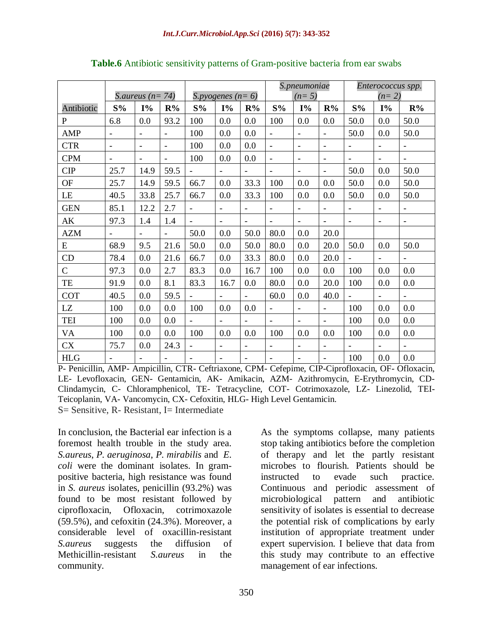|                |                          |                          |                              |                          |                          |                          | S.pneumoniae             |                          |                          | Enterococcus spp.        |                          |                          |  |
|----------------|--------------------------|--------------------------|------------------------------|--------------------------|--------------------------|--------------------------|--------------------------|--------------------------|--------------------------|--------------------------|--------------------------|--------------------------|--|
|                |                          | S. aureus ( $n = 74$ )   |                              |                          | S.pyogenes $(n=6)$       |                          |                          | $(n=5)$                  |                          |                          | $(n=2)$                  |                          |  |
| Antibiotic     | S%                       | $I\%$                    | R%                           | S%                       | $I\%$                    | R%                       | S%                       | $I\%$                    | R%                       | S%                       | $I\%$                    | R%                       |  |
| $\overline{P}$ | 6.8                      | 0.0                      | 93.2                         | 100                      | 0.0                      | 0.0                      | 100                      | 0.0                      | 0.0                      | 50.0                     | 0.0                      | 50.0                     |  |
| <b>AMP</b>     | $\overline{\phantom{a}}$ | $\overline{\phantom{a}}$ | $\blacksquare$               | 100                      | 0.0                      | 0.0                      | $\bar{\phantom{a}}$      | $\overline{\phantom{a}}$ | $\blacksquare$           | 50.0                     | 0.0                      | 50.0                     |  |
| <b>CTR</b>     | $\overline{\phantom{a}}$ | $\overline{\phantom{a}}$ | $\overline{\phantom{a}}$     | 100                      | 0.0                      | 0.0                      | $\overline{a}$           | $\overline{\phantom{a}}$ | $\blacksquare$           | $\overline{\phantom{a}}$ | $\overline{\phantom{a}}$ | $\blacksquare$           |  |
| <b>CPM</b>     |                          | $\overline{\phantom{a}}$ |                              | 100                      | 0.0                      | 0.0                      | $\overline{a}$           | $\blacksquare$           | $\overline{\phantom{a}}$ |                          |                          | $\overline{\phantom{a}}$ |  |
| CIP            | 25.7                     | 14.9                     | 59.5                         |                          | $\overline{\phantom{a}}$ |                          | $\overline{\phantom{a}}$ | $\overline{\phantom{a}}$ | $\overline{\phantom{a}}$ | 50.0                     | 0.0                      | 50.0                     |  |
| <b>OF</b>      | 25.7                     | 14.9                     | 59.5                         | 66.7                     | 0.0                      | 33.3                     | 100                      | 0.0                      | 0.0                      | 50.0                     | 0.0                      | 50.0                     |  |
| LE             | 40.5                     | 33.8                     | 25.7                         | 66.7                     | 0.0                      | 33.3                     | 100                      | 0.0                      | 0.0                      | 50.0                     | 0.0                      | 50.0                     |  |
| <b>GEN</b>     | 85.1                     | 12.2                     | 2.7                          | $\equiv$                 | $\overline{\phantom{a}}$ | $\blacksquare$           | $\overline{\phantom{a}}$ | $\overline{\phantom{a}}$ | $\overline{\phantom{a}}$ | $\overline{\phantom{a}}$ |                          | $\overline{\phantom{0}}$ |  |
| AK             | 97.3                     | 1.4                      | 1.4                          | $\blacksquare$           | $\blacksquare$           | $\blacksquare$           | $\overline{\phantom{a}}$ | $\blacksquare$           | $\overline{\phantom{0}}$ | $\overline{\phantom{a}}$ | $\overline{\phantom{a}}$ | $\overline{\phantom{a}}$ |  |
| <b>AZM</b>     |                          | L,                       | $\overline{a}$               | 50.0                     | 0.0                      | 50.0                     | 80.0                     | 0.0                      | 20.0                     |                          |                          |                          |  |
| E              | 68.9                     | 9.5                      | 21.6                         | 50.0                     | 0.0                      | 50.0                     | 80.0                     | 0.0                      | 20.0                     | 50.0                     | 0.0                      | 50.0                     |  |
| CD             | 78.4                     | 0.0                      | 21.6                         | 66.7                     | 0.0                      | 33.3                     | 80.0                     | 0.0                      | 20.0                     |                          | $\overline{\phantom{a}}$ | $\overline{\phantom{a}}$ |  |
| $\overline{C}$ | 97.3                     | 0.0                      | 2.7                          | 83.3                     | 0.0                      | 16.7                     | 100                      | 0.0                      | 0.0                      | 100                      | 0.0                      | 0.0                      |  |
| TE             | 91.9                     | 0.0                      | 8.1                          | 83.3                     | 16.7                     | 0.0                      | 80.0                     | 0.0                      | 20.0                     | 100                      | 0.0                      | 0.0                      |  |
| <b>COT</b>     | 40.5                     | 0.0                      | 59.5                         |                          |                          |                          | 60.0                     | 0.0                      | 40.0                     |                          |                          |                          |  |
| LZ             | 100                      | 0.0                      | 0.0                          | 100                      | 0.0                      | 0.0                      | $\bar{\phantom{a}}$      | $\blacksquare$           | $\blacksquare$           | 100                      | 0.0                      | 0.0                      |  |
| TEI            | 100                      | 0.0                      | 0.0                          | $\overline{a}$           | $\blacksquare$           | $\overline{a}$           | $\overline{a}$           | $\overline{\phantom{a}}$ | $\overline{a}$           | 100                      | 0.0                      | 0.0                      |  |
| VA             | 100                      | 0.0                      | 0.0                          | 100                      | 0.0                      | 0.0                      | 100                      | 0.0                      | 0.0                      | 100                      | 0.0                      | 0.0                      |  |
| CX             | 75.7                     | 0.0                      | 24.3                         | $\frac{1}{2}$            | $\overline{\phantom{a}}$ | $\overline{\phantom{a}}$ | $\overline{\phantom{0}}$ | $\overline{\phantom{a}}$ | $\blacksquare$           | $\blacksquare$           | $\overline{\phantom{a}}$ | $\overline{\phantom{0}}$ |  |
| <b>HLG</b>     | $\overline{\phantom{0}}$ | $\overline{\phantom{0}}$ | $\qquad \qquad \blacksquare$ | $\overline{\phantom{0}}$ | $\qquad \qquad -$        | $\overline{a}$           | $\qquad \qquad -$        | $\overline{\phantom{a}}$ | $\overline{\phantom{0}}$ | 100                      | 0.0                      | 0.0                      |  |

**Table.6** Antibiotic sensitivity patterns of Gram-positive bacteria from ear swabs

P- Penicillin, AMP- Ampicillin, CTR- Ceftriaxone, CPM- Cefepime, CIP-Ciprofloxacin, OF- Ofloxacin, LE- Levofloxacin, GEN- Gentamicin, AK- Amikacin, AZM- Azithromycin, E-Erythromycin, CD-Clindamycin, C- Chloramphenicol, TE- Tetracycline, COT- Cotrimoxazole, LZ- Linezolid, TEI-Teicoplanin, VA- Vancomycin, CX- Cefoxitin, HLG- High Level Gentamicin. S= Sensitive, R- Resistant, I= Intermediate

In conclusion, the Bacterial ear infection is a foremost health trouble in the study area. *S.aureus*, *P. aeruginosa*, *P. mirabilis* and *E. coli* were the dominant isolates. In grampositive bacteria, high resistance was found in *S. aureus* isolates, penicillin (93.2%) was found to be most resistant followed by ciprofloxacin, Ofloxacin, cotrimoxazole (59.5%), and cefoxitin (24.3%). Moreover, a considerable level of oxacillin-resistant *S.aureus* suggests the diffusion of Methicillin-resistant *S.aureus* in the community.

As the symptoms collapse, many patients stop taking antibiotics before the completion of therapy and let the partly resistant microbes to flourish. Patients should be instructed to evade such practice. Continuous and periodic assessment of microbiological pattern and antibiotic sensitivity of isolates is essential to decrease the potential risk of complications by early institution of appropriate treatment under expert supervision. I believe that data from this study may contribute to an effective management of ear infections.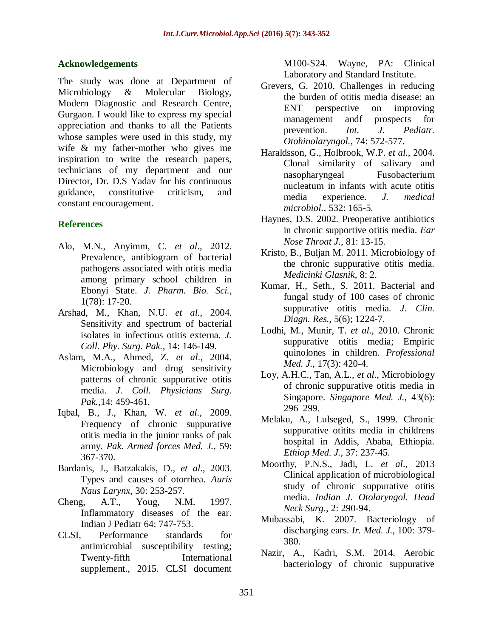## **Acknowledgements**

The study was done at Department of Microbiology & Molecular Biology, Modern Diagnostic and Research Centre, Gurgaon. I would like to express my special appreciation and thanks to all the Patients whose samples were used in this study, my wife & my father-mother who gives me inspiration to write the research papers, technicians of my department and our Director, Dr. D.S Yadav for his continuous guidance, constitutive criticism, and constant encouragement.

## **References**

- Alo, M.N., Anyimm, C. *et al*., 2012. Prevalence, antibiogram of bacterial pathogens associated with otitis media among primary school children in Ebonyi State. *J. Pharm. Bio. Sci.,* 1(78): 17-20.
- Arshad, M., Khan, N.U. *et al*., 2004. Sensitivity and spectrum of bacterial isolates in infectious otitis externa. *J. Coll. Phy. Surg. Pak.,* 14: 146-149.
- Aslam, M.A., Ahmed, Z. *et al*., 2004. Microbiology and drug sensitivity patterns of chronic suppurative otitis media. *J. Coll. Physicians Surg. Pak.,*14: 459-461.
- Iqbal, B., J., Khan, W. *et al.,* 2009. Frequency of chronic suppurative otitis media in the junior ranks of pak army. *Pak. Armed forces Med. J.,* 59: 367-370.
- Bardanis, J., Batzakakis, D., *et al*., 2003. Types and causes of otorrhea. *Auris Naus Larynx*, 30: 253-257.
- Cheng, A.T., Youg, N.M. 1997. Inflammatory diseases of the ear. Indian J Pediatr 64: 747-753.
- CLSI, Performance standards for antimicrobial susceptibility testing; Twenty-fifth International supplement., 2015. CLSI document

M100-S24. Wayne, PA: Clinical Laboratory and Standard Institute.

- Grevers, G. 2010. Challenges in reducing the burden of otitis media disease: an ENT perspective on improving management andf prospects for prevention. *Int. J. Pediatr. Otohinolaryngol.,* 74: 572-577.
- Haraldsson, G., Holbrook, W.P. *et al.,* 2004. Clonal similarity of salivary and nasopharyngeal Fusobacterium nucleatum in infants with acute otitis media experience. *J. medical microbiol.,* 532: 165-5.
- Haynes, D.S. 2002. Preoperative antibiotics in chronic supportive otitis media. *Ear Nose Throat J*., 81: 13-15.
- Kristo, B., Buljan M. 2011. Microbiology of the chronic suppurative otitis media. *Medicinki Glasnik*, 8: 2.
- Kumar, H., Seth., S. 2011. Bacterial and fungal study of 100 cases of chronic suppurative otitis media*. J. Clin. Diagn. Res.,* 5(6); 1224-7.
- Lodhi, M., Munir, T. *et al*., 2010. Chronic suppurative otitis media; Empiric quinolones in children. *Professional Med. J.,* 17(3): 420-4.
- Loy, A.H.C., Tan, A.L., *et al*., Microbiology of chronic suppurative otitis media in Singapore. *Singapore Med. J.,* 43(6): 296–299.
- Melaku, A., Lulseged, S., 1999. Chronic suppurative otitits media in childrens hospital in Addis, Ababa, Ethiopia. *Ethiop Med. J.,* 37: 237-45.
- Moorthy, P.N.S., Jadi, L. *et al*., 2013 Clinical application of microbiological study of chronic suppurative otitis media. *Indian J. Otolaryngol. Head Neck Surg.,* 2: 290-94.
- Mubassabi, K. 2007. Bacteriology of discharging ears. *Ir. Med. J.,* 100: 379- 380.
- Nazir, A., Kadri, S.M. 2014. Aerobic bacteriology of chronic suppurative